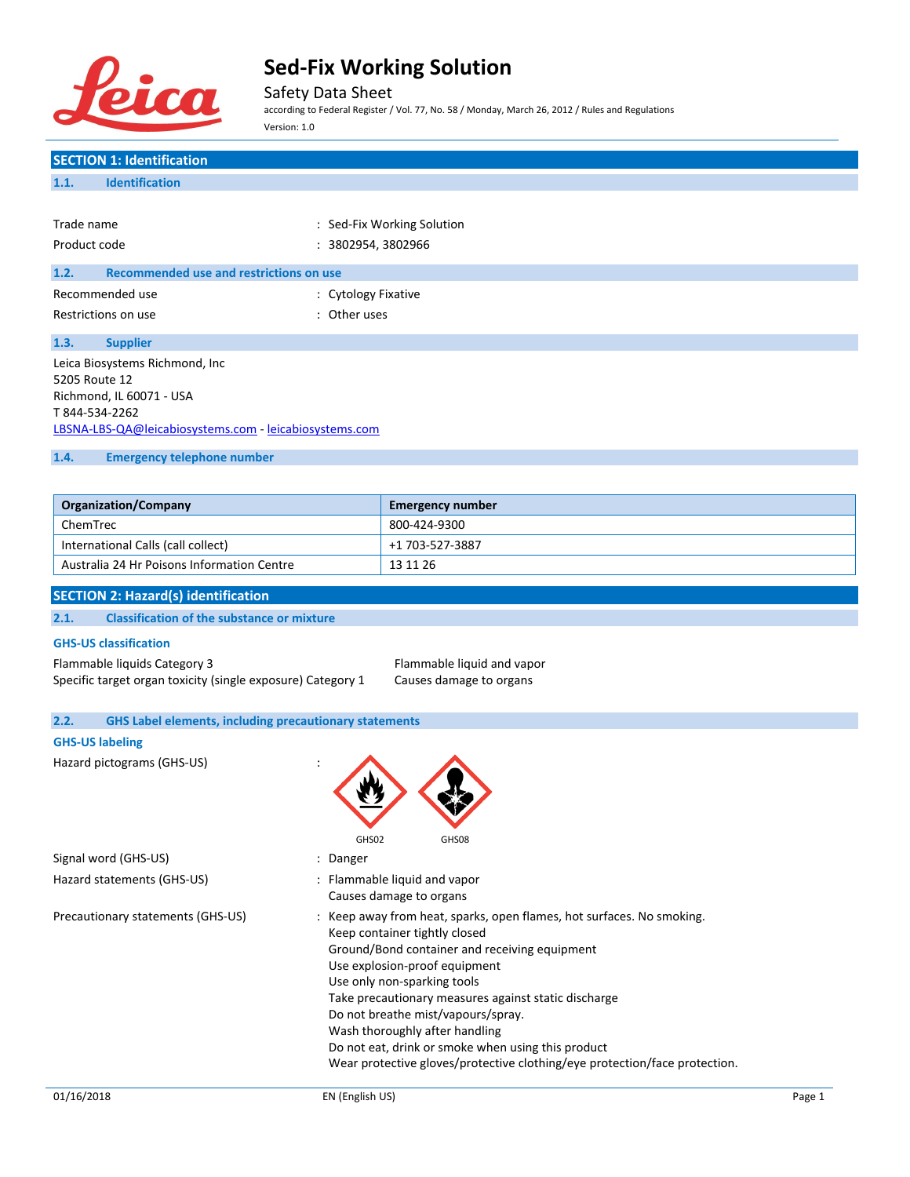

Safety Data Sheet

according to Federal Register / Vol. 77, No. 58 / Monday, March 26, 2012 / Rules and Regulations Version: 1.0

| <b>SECTION 1: Identification</b>                                      |                                                                                                                                  |
|-----------------------------------------------------------------------|----------------------------------------------------------------------------------------------------------------------------------|
| <b>Identification</b><br>1.1.                                         |                                                                                                                                  |
|                                                                       |                                                                                                                                  |
| Trade name                                                            | : Sed-Fix Working Solution                                                                                                       |
| Product code                                                          | : 3802954, 3802966                                                                                                               |
|                                                                       |                                                                                                                                  |
| 1.2.<br>Recommended use and restrictions on use                       |                                                                                                                                  |
| Recommended use<br>: Cytology Fixative                                |                                                                                                                                  |
| : Other uses<br>Restrictions on use                                   |                                                                                                                                  |
| 1.3.<br><b>Supplier</b>                                               |                                                                                                                                  |
| Leica Biosystems Richmond, Inc                                        |                                                                                                                                  |
| 5205 Route 12                                                         |                                                                                                                                  |
| Richmond, IL 60071 - USA                                              |                                                                                                                                  |
| T 844-534-2262                                                        |                                                                                                                                  |
| LBSNA-LBS-QA@leicabiosystems.com - leicabiosystems.com                |                                                                                                                                  |
| 1.4.<br><b>Emergency telephone number</b>                             |                                                                                                                                  |
|                                                                       |                                                                                                                                  |
| <b>Organization/Company</b>                                           | <b>Emergency number</b>                                                                                                          |
| ChemTrec                                                              | 800-424-9300                                                                                                                     |
| International Calls (call collect)                                    | +1 703-527-3887                                                                                                                  |
| Australia 24 Hr Poisons Information Centre                            | 13 11 26                                                                                                                         |
|                                                                       |                                                                                                                                  |
| <b>SECTION 2: Hazard(s) identification</b>                            |                                                                                                                                  |
| 2.1.<br><b>Classification of the substance or mixture</b>             |                                                                                                                                  |
| <b>GHS-US classification</b>                                          |                                                                                                                                  |
| Flammable liquids Category 3                                          | Flammable liquid and vapor                                                                                                       |
| Specific target organ toxicity (single exposure) Category 1           | Causes damage to organs                                                                                                          |
|                                                                       |                                                                                                                                  |
| <b>GHS Label elements, including precautionary statements</b><br>2.2. |                                                                                                                                  |
| <b>GHS-US labeling</b>                                                |                                                                                                                                  |
| Hazard pictograms (GHS-US)                                            |                                                                                                                                  |
|                                                                       |                                                                                                                                  |
|                                                                       |                                                                                                                                  |
|                                                                       |                                                                                                                                  |
| GHS02                                                                 | GHS08                                                                                                                            |
| Signal word (GHS-US)<br>: Danger                                      |                                                                                                                                  |
| Hazard statements (GHS-US)                                            | : Flammable liquid and vapor                                                                                                     |
|                                                                       | Causes damage to organs                                                                                                          |
| Precautionary statements (GHS-US)                                     | : Keep away from heat, sparks, open flames, hot surfaces. No smoking.                                                            |
|                                                                       | Keep container tightly closed<br>Ground/Bond container and receiving equipment                                                   |
|                                                                       | Use explosion-proof equipment                                                                                                    |
|                                                                       | Use only non-sparking tools                                                                                                      |
|                                                                       | Take precautionary measures against static discharge                                                                             |
|                                                                       | Do not breathe mist/vapours/spray.                                                                                               |
|                                                                       | Wash thoroughly after handling                                                                                                   |
|                                                                       | Do not eat, drink or smoke when using this product<br>Wear protective gloves/protective clothing/eye protection/face protection. |
|                                                                       |                                                                                                                                  |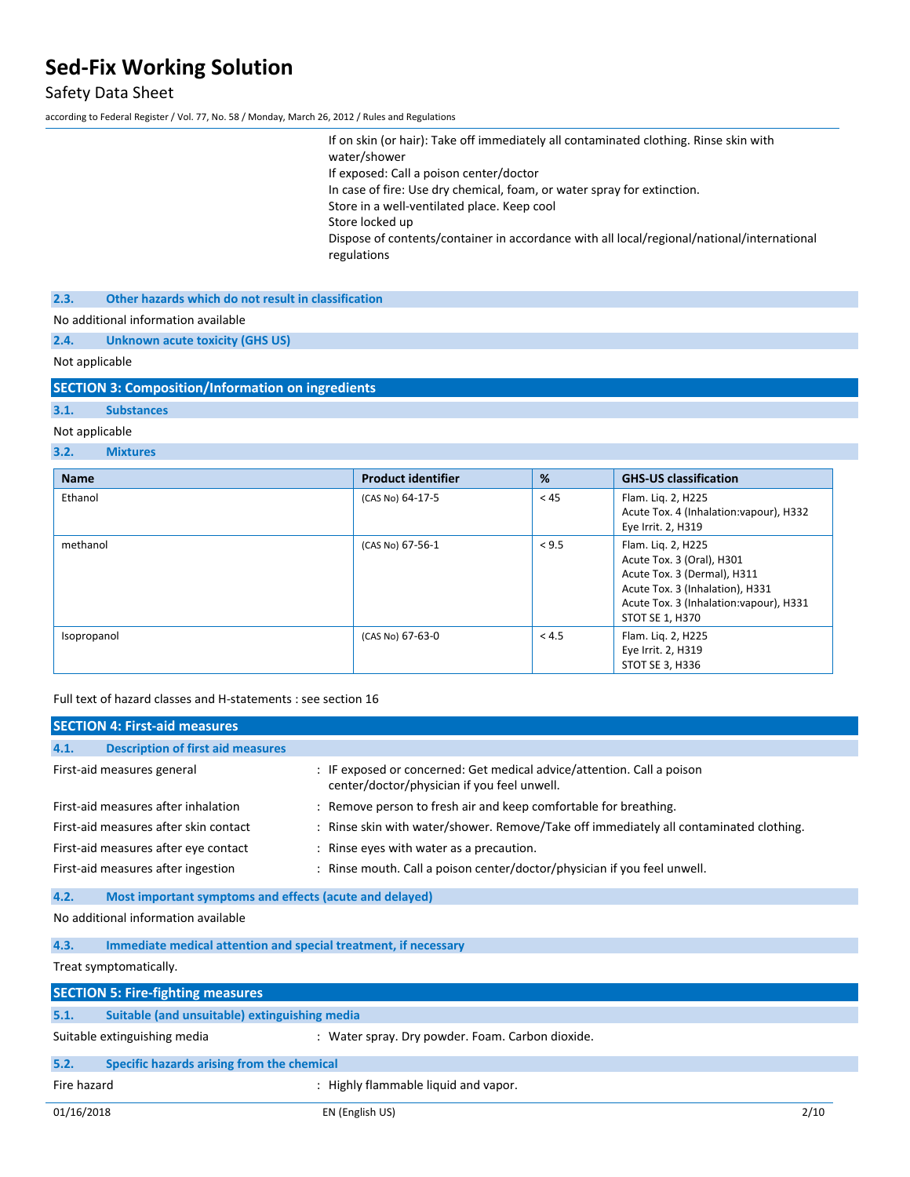# Safety Data Sheet

according to Federal Register / Vol. 77, No. 58 / Monday, March 26, 2012 / Rules and Regulations

| If on skin (or hair): Take off immediately all contaminated clothing. Rinse skin with<br>water/shower     |
|-----------------------------------------------------------------------------------------------------------|
| If exposed: Call a poison center/doctor                                                                   |
| In case of fire: Use dry chemical, foam, or water spray for extinction.                                   |
| Store in a well-ventilated place. Keep cool                                                               |
| Store locked up                                                                                           |
| Dispose of contents/container in accordance with all local/regional/national/international<br>regulations |
|                                                                                                           |

**2.3. Other hazards which do not result in classification**

No additional information available

**2.4. Unknown acute toxicity (GHS US)**

Not applicable

**SECTION 3: Composition/Information on ingredients**

# **3.1. Substances**

### Not applicable

### **3.2. Mixtures**

| <b>Name</b> | <b>Product identifier</b> | %     | <b>GHS-US classification</b>                                                                                                                                                    |
|-------------|---------------------------|-------|---------------------------------------------------------------------------------------------------------------------------------------------------------------------------------|
| Ethanol     | (CAS No) 64-17-5          | < 45  | Flam. Liq. 2, H225<br>Acute Tox. 4 (Inhalation: vapour), H332<br>Eye Irrit. 2, H319                                                                                             |
| methanol    | (CAS No) 67-56-1          | < 9.5 | Flam. Liq. 2, H225<br>Acute Tox. 3 (Oral), H301<br>Acute Tox. 3 (Dermal), H311<br>Acute Tox. 3 (Inhalation), H331<br>Acute Tox. 3 (Inhalation: vapour), H331<br>STOT SE 1, H370 |
| Isopropanol | (CAS No) 67-63-0          | < 4.5 | Flam. Liq. 2, H225<br>Eye Irrit. 2, H319<br>STOT SE 3, H336                                                                                                                     |

Full text of hazard classes and H-statements : see section 16

|                                                                         | <b>SECTION 4: First-aid measures</b>                    |                                                                                                                       |
|-------------------------------------------------------------------------|---------------------------------------------------------|-----------------------------------------------------------------------------------------------------------------------|
| 4.1.                                                                    | <b>Description of first aid measures</b>                |                                                                                                                       |
|                                                                         | First-aid measures general                              | : IF exposed or concerned: Get medical advice/attention. Call a poison<br>center/doctor/physician if you feel unwell. |
|                                                                         | First-aid measures after inhalation                     | : Remove person to fresh air and keep comfortable for breathing.                                                      |
|                                                                         | First-aid measures after skin contact                   | : Rinse skin with water/shower. Remove/Take off immediately all contaminated clothing.                                |
|                                                                         | First-aid measures after eye contact                    | : Rinse eyes with water as a precaution.                                                                              |
|                                                                         | First-aid measures after ingestion                      | : Rinse mouth. Call a poison center/doctor/physician if you feel unwell.                                              |
| 4.2.                                                                    | Most important symptoms and effects (acute and delayed) |                                                                                                                       |
|                                                                         | No additional information available                     |                                                                                                                       |
| Immediate medical attention and special treatment, if necessary<br>4.3. |                                                         |                                                                                                                       |
|                                                                         | Treat symptomatically.                                  |                                                                                                                       |
|                                                                         | <b>SECTION 5: Fire-fighting measures</b>                |                                                                                                                       |
| 5.1.                                                                    | Suitable (and unsuitable) extinguishing media           |                                                                                                                       |
|                                                                         | Suitable extinguishing media                            | : Water spray. Dry powder. Foam. Carbon dioxide.                                                                      |
| 5.2.                                                                    | Specific hazards arising from the chemical              |                                                                                                                       |
| Fire hazard                                                             |                                                         | : Highly flammable liquid and vapor.                                                                                  |
| 01/16/2018                                                              |                                                         | 2/10<br>EN (English US)                                                                                               |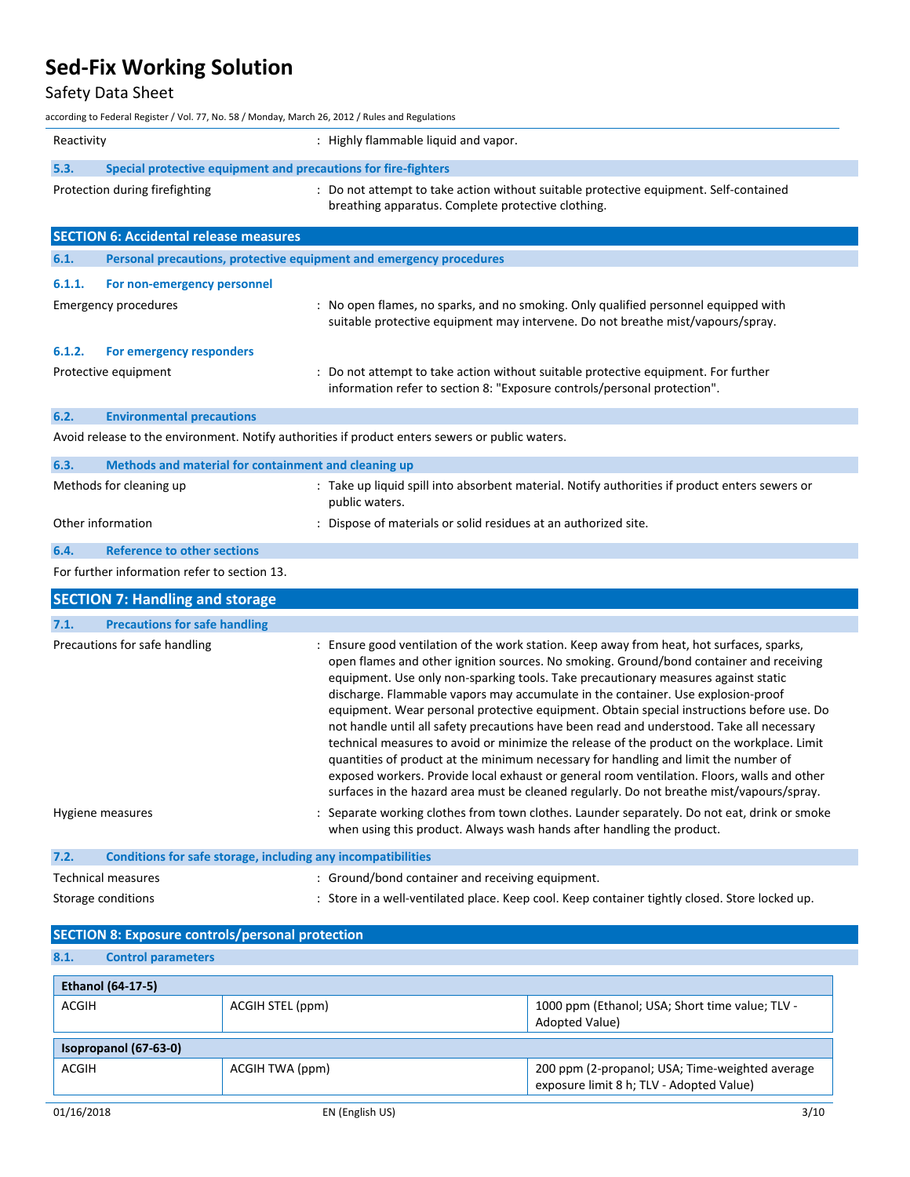# Safety Data Sheet

according to Federal Register / Vol. 77, No. 58 / Monday, March 26, 2012 / Rules and Regulations

| Reactivity                    |                                                                     | : Highly flammable liquid and vapor.                                                                                                                                                                                                                                                                                                                                                                                                                                                                                                                                                                                                                                                                                                                                                                                                                                                                                                      |  |
|-------------------------------|---------------------------------------------------------------------|-------------------------------------------------------------------------------------------------------------------------------------------------------------------------------------------------------------------------------------------------------------------------------------------------------------------------------------------------------------------------------------------------------------------------------------------------------------------------------------------------------------------------------------------------------------------------------------------------------------------------------------------------------------------------------------------------------------------------------------------------------------------------------------------------------------------------------------------------------------------------------------------------------------------------------------------|--|
| 5.3.                          | Special protective equipment and precautions for fire-fighters      |                                                                                                                                                                                                                                                                                                                                                                                                                                                                                                                                                                                                                                                                                                                                                                                                                                                                                                                                           |  |
|                               | Protection during firefighting                                      | : Do not attempt to take action without suitable protective equipment. Self-contained<br>breathing apparatus. Complete protective clothing.                                                                                                                                                                                                                                                                                                                                                                                                                                                                                                                                                                                                                                                                                                                                                                                               |  |
|                               | <b>SECTION 6: Accidental release measures</b>                       |                                                                                                                                                                                                                                                                                                                                                                                                                                                                                                                                                                                                                                                                                                                                                                                                                                                                                                                                           |  |
| 6.1.                          | Personal precautions, protective equipment and emergency procedures |                                                                                                                                                                                                                                                                                                                                                                                                                                                                                                                                                                                                                                                                                                                                                                                                                                                                                                                                           |  |
| 6.1.1.                        | For non-emergency personnel                                         |                                                                                                                                                                                                                                                                                                                                                                                                                                                                                                                                                                                                                                                                                                                                                                                                                                                                                                                                           |  |
|                               | <b>Emergency procedures</b>                                         | : No open flames, no sparks, and no smoking. Only qualified personnel equipped with<br>suitable protective equipment may intervene. Do not breathe mist/vapours/spray.                                                                                                                                                                                                                                                                                                                                                                                                                                                                                                                                                                                                                                                                                                                                                                    |  |
| 6.1.2.                        | For emergency responders                                            |                                                                                                                                                                                                                                                                                                                                                                                                                                                                                                                                                                                                                                                                                                                                                                                                                                                                                                                                           |  |
|                               | Protective equipment                                                | Do not attempt to take action without suitable protective equipment. For further<br>information refer to section 8: "Exposure controls/personal protection".                                                                                                                                                                                                                                                                                                                                                                                                                                                                                                                                                                                                                                                                                                                                                                              |  |
| 6.2.                          | <b>Environmental precautions</b>                                    |                                                                                                                                                                                                                                                                                                                                                                                                                                                                                                                                                                                                                                                                                                                                                                                                                                                                                                                                           |  |
|                               |                                                                     | Avoid release to the environment. Notify authorities if product enters sewers or public waters.                                                                                                                                                                                                                                                                                                                                                                                                                                                                                                                                                                                                                                                                                                                                                                                                                                           |  |
| 6.3.                          | Methods and material for containment and cleaning up                |                                                                                                                                                                                                                                                                                                                                                                                                                                                                                                                                                                                                                                                                                                                                                                                                                                                                                                                                           |  |
| Methods for cleaning up       |                                                                     | : Take up liquid spill into absorbent material. Notify authorities if product enters sewers or<br>public waters.                                                                                                                                                                                                                                                                                                                                                                                                                                                                                                                                                                                                                                                                                                                                                                                                                          |  |
|                               | Other information                                                   | : Dispose of materials or solid residues at an authorized site.                                                                                                                                                                                                                                                                                                                                                                                                                                                                                                                                                                                                                                                                                                                                                                                                                                                                           |  |
| 6.4.                          | <b>Reference to other sections</b>                                  |                                                                                                                                                                                                                                                                                                                                                                                                                                                                                                                                                                                                                                                                                                                                                                                                                                                                                                                                           |  |
|                               | For further information refer to section 13.                        |                                                                                                                                                                                                                                                                                                                                                                                                                                                                                                                                                                                                                                                                                                                                                                                                                                                                                                                                           |  |
|                               | <b>SECTION 7: Handling and storage</b>                              |                                                                                                                                                                                                                                                                                                                                                                                                                                                                                                                                                                                                                                                                                                                                                                                                                                                                                                                                           |  |
| 7.1.                          | <b>Precautions for safe handling</b>                                |                                                                                                                                                                                                                                                                                                                                                                                                                                                                                                                                                                                                                                                                                                                                                                                                                                                                                                                                           |  |
| Precautions for safe handling |                                                                     | : Ensure good ventilation of the work station. Keep away from heat, hot surfaces, sparks,<br>open flames and other ignition sources. No smoking. Ground/bond container and receiving<br>equipment. Use only non-sparking tools. Take precautionary measures against static<br>discharge. Flammable vapors may accumulate in the container. Use explosion-proof<br>equipment. Wear personal protective equipment. Obtain special instructions before use. Do<br>not handle until all safety precautions have been read and understood. Take all necessary<br>technical measures to avoid or minimize the release of the product on the workplace. Limit<br>quantities of product at the minimum necessary for handling and limit the number of<br>exposed workers. Provide local exhaust or general room ventilation. Floors, walls and other<br>surfaces in the hazard area must be cleaned regularly. Do not breathe mist/vapours/spray. |  |
|                               | Hygiene measures                                                    | Separate working clothes from town clothes. Launder separately. Do not eat, drink or smoke<br>when using this product. Always wash hands after handling the product.                                                                                                                                                                                                                                                                                                                                                                                                                                                                                                                                                                                                                                                                                                                                                                      |  |
| 7.2.                          | Conditions for safe storage, including any incompatibilities        |                                                                                                                                                                                                                                                                                                                                                                                                                                                                                                                                                                                                                                                                                                                                                                                                                                                                                                                                           |  |
|                               | <b>Technical measures</b>                                           | : Ground/bond container and receiving equipment.                                                                                                                                                                                                                                                                                                                                                                                                                                                                                                                                                                                                                                                                                                                                                                                                                                                                                          |  |
| Storage conditions            |                                                                     | : Store in a well-ventilated place. Keep cool. Keep container tightly closed. Store locked up.                                                                                                                                                                                                                                                                                                                                                                                                                                                                                                                                                                                                                                                                                                                                                                                                                                            |  |
|                               | <b>SECTION 8: Exposure controls/personal protection</b>             |                                                                                                                                                                                                                                                                                                                                                                                                                                                                                                                                                                                                                                                                                                                                                                                                                                                                                                                                           |  |

| <b>Control parameters</b><br>8.1.                                                              |                 |                                                                                             |  |
|------------------------------------------------------------------------------------------------|-----------------|---------------------------------------------------------------------------------------------|--|
| <b>Ethanol (64-17-5)</b>                                                                       |                 |                                                                                             |  |
| 1000 ppm (Ethanol; USA; Short time value; TLV -<br>ACGIH<br>ACGIH STEL (ppm)<br>Adopted Value) |                 |                                                                                             |  |
| Isopropanol (67-63-0)                                                                          |                 |                                                                                             |  |
| ACGIH                                                                                          | ACGIH TWA (ppm) | 200 ppm (2-propanol; USA; Time-weighted average<br>exposure limit 8 h; TLV - Adopted Value) |  |
| 01/16/2018                                                                                     | EN (English US) | 3/10                                                                                        |  |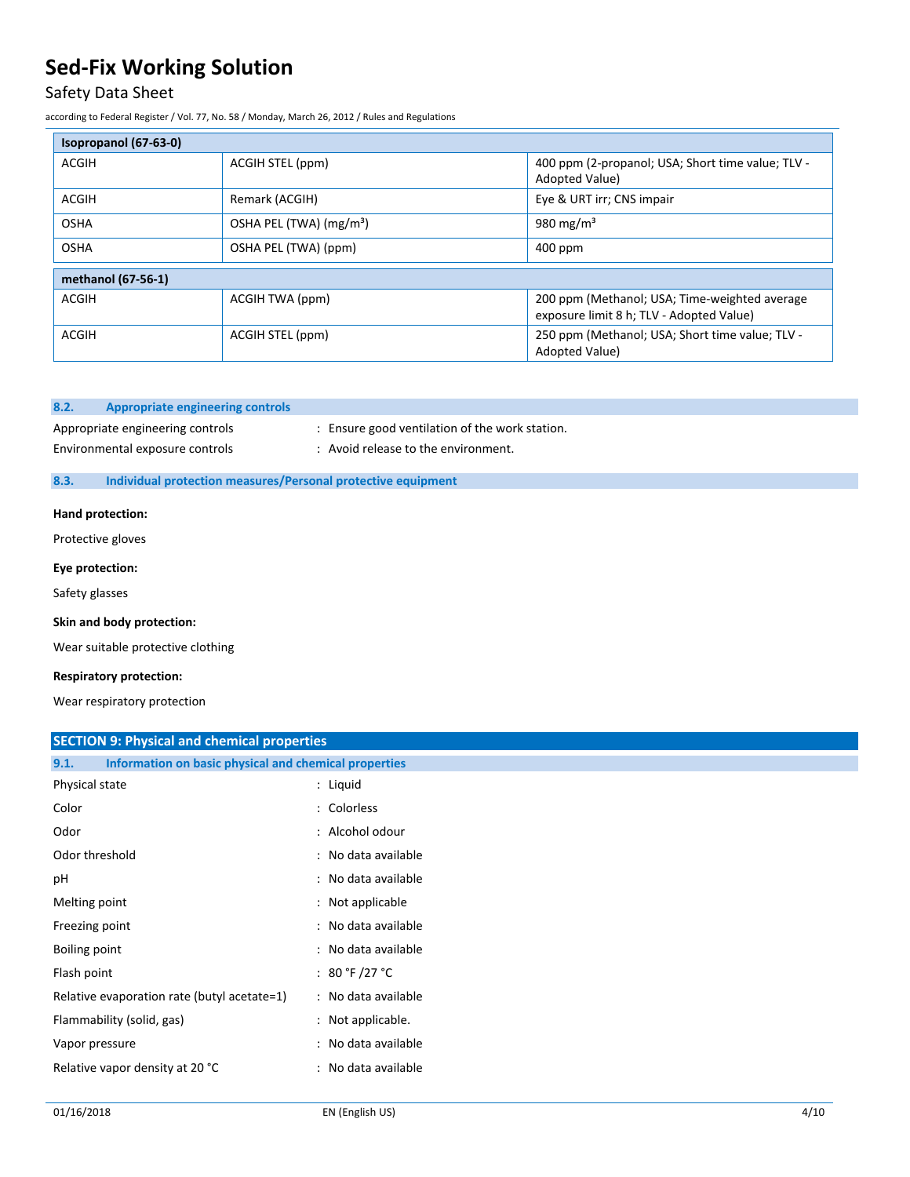# Safety Data Sheet

according to Federal Register / Vol. 77, No. 58 / Monday, March 26, 2012 / Rules and Regulations

| Isopropanol (67-63-0) |                                     |                                                                                           |  |
|-----------------------|-------------------------------------|-------------------------------------------------------------------------------------------|--|
| ACGIH                 | ACGIH STEL (ppm)                    | 400 ppm (2-propanol; USA; Short time value; TLV -<br>Adopted Value)                       |  |
| <b>ACGIH</b>          | Remark (ACGIH)                      | Eye & URT irr; CNS impair                                                                 |  |
| <b>OSHA</b>           | OSHA PEL (TWA) (mg/m <sup>3</sup> ) | 980 mg/m <sup>3</sup>                                                                     |  |
| <b>OSHA</b>           | OSHA PEL (TWA) (ppm)                | $400$ ppm                                                                                 |  |
| methanol (67-56-1)    |                                     |                                                                                           |  |
| ACGIH                 | ACGIH TWA (ppm)                     | 200 ppm (Methanol; USA; Time-weighted average<br>exposure limit 8 h; TLV - Adopted Value) |  |
| ACGIH                 | ACGIH STEL (ppm)                    | 250 ppm (Methanol; USA; Short time value; TLV -<br>Adopted Value)                         |  |

### **8.2. Appropriate engineering controls**

Appropriate engineering controls : Ensure good ventilation of the work station.

- 
- Environmental exposure controls : Avoid release to the environment.

### **8.3. Individual protection measures/Personal protective equipment**

### **Hand protection:**

Protective gloves

#### **Eye protection:**

Safety glasses

#### **Skin and body protection:**

Wear suitable protective clothing

#### **Respiratory protection:**

Wear respiratory protection

## **SECTION 9: Physical and chemical properties**

| Information on basic physical and chemical properties<br>9.1. |                     |
|---------------------------------------------------------------|---------------------|
| Physical state                                                | : Liquid            |
| Color                                                         | : Colorless         |
| Odor                                                          | : Alcohol odour     |
| Odor threshold                                                | : No data available |
| рH                                                            | : No data available |
| Melting point                                                 | : Not applicable    |
| Freezing point                                                | : No data available |
| Boiling point                                                 | : No data available |
| Flash point                                                   | : 80 °F /27 °C      |
| Relative evaporation rate (butyl acetate=1)                   | : No data available |
| Flammability (solid, gas)                                     | : Not applicable.   |
| Vapor pressure                                                | : No data available |
| Relative vapor density at 20 °C                               | : No data available |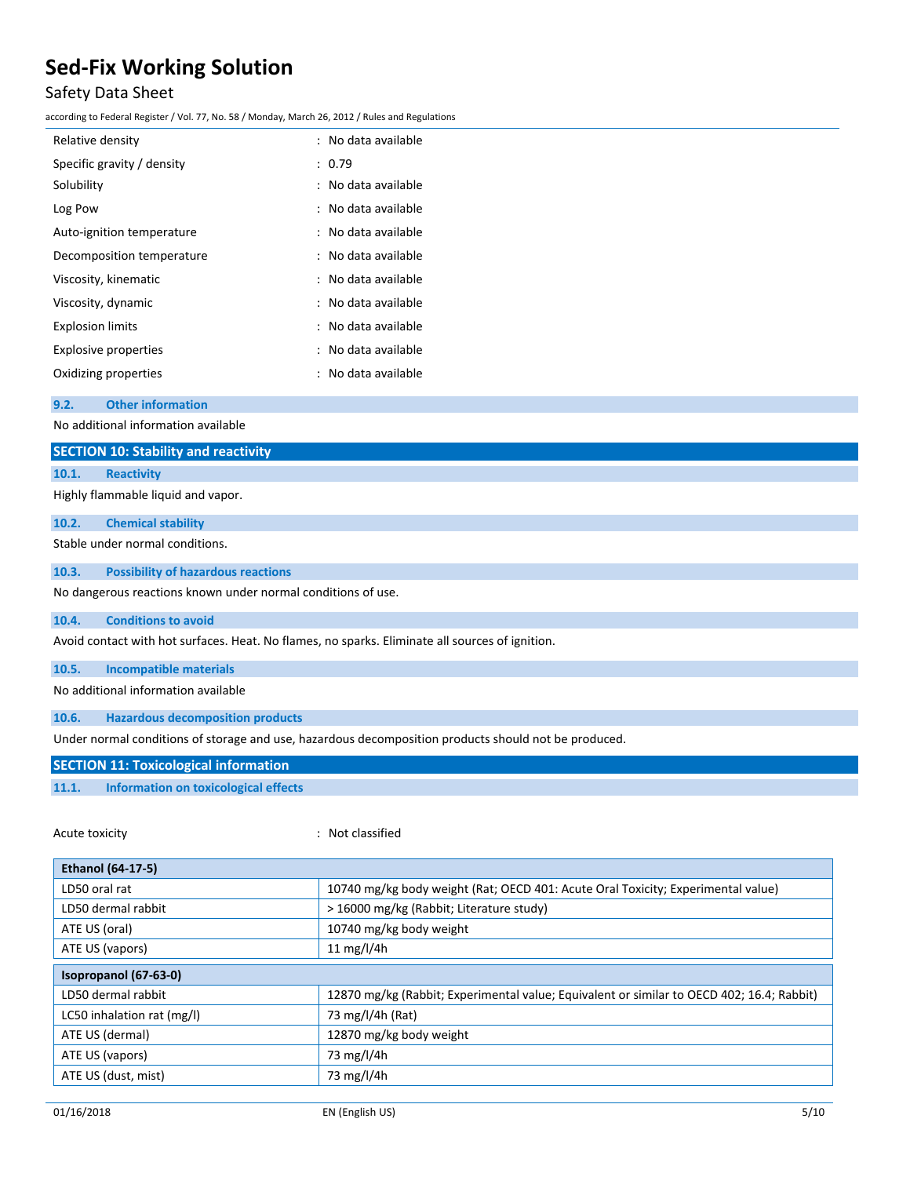# Safety Data Sheet

according to Federal Register / Vol. 77, No. 58 / Monday, March 26, 2012 / Rules and Regulations

| Relative density            | : No data available |
|-----------------------------|---------------------|
| Specific gravity / density  | : 0.79              |
| Solubility                  | : No data available |
| Log Pow                     | : No data available |
| Auto-ignition temperature   | : No data available |
| Decomposition temperature   | : No data available |
| Viscosity, kinematic        | : No data available |
| Viscosity, dynamic          | : No data available |
| <b>Explosion limits</b>     | : No data available |
| <b>Explosive properties</b> | : No data available |
| Oxidizing properties        | : No data available |
|                             |                     |

**9.2. Other information**

No additional information available

|                                                                                                 | <b>SECTION 10: Stability and reactivity</b> |  |  |  |
|-------------------------------------------------------------------------------------------------|---------------------------------------------|--|--|--|
| 10.1.                                                                                           | <b>Reactivity</b>                           |  |  |  |
|                                                                                                 | Highly flammable liquid and vapor.          |  |  |  |
| 10.2.                                                                                           | <b>Chemical stability</b>                   |  |  |  |
|                                                                                                 | Stable under normal conditions.             |  |  |  |
| 10.3.                                                                                           | <b>Possibility of hazardous reactions</b>   |  |  |  |
| No dangerous reactions known under normal conditions of use.                                    |                                             |  |  |  |
| 10.4.                                                                                           | <b>Conditions to avoid</b>                  |  |  |  |
| Avoid contact with hot surfaces. Heat. No flames, no sparks. Eliminate all sources of ignition. |                                             |  |  |  |
| 10.5.                                                                                           | <b>Incompatible materials</b>               |  |  |  |

No additional information available

**10.6. Hazardous decomposition products**

Under normal conditions of storage and use, hazardous decomposition products should not be produced.

### **SECTION 11: Toxicological information**

### **11.1. Information on toxicological effects**

Acute toxicity **in the case of the Case of the Case of the Case of the Case of the Case of the Case of the Case of the Case of the Case of the Case of the Case of the Case of the Case of the Case of the Case of the Case of**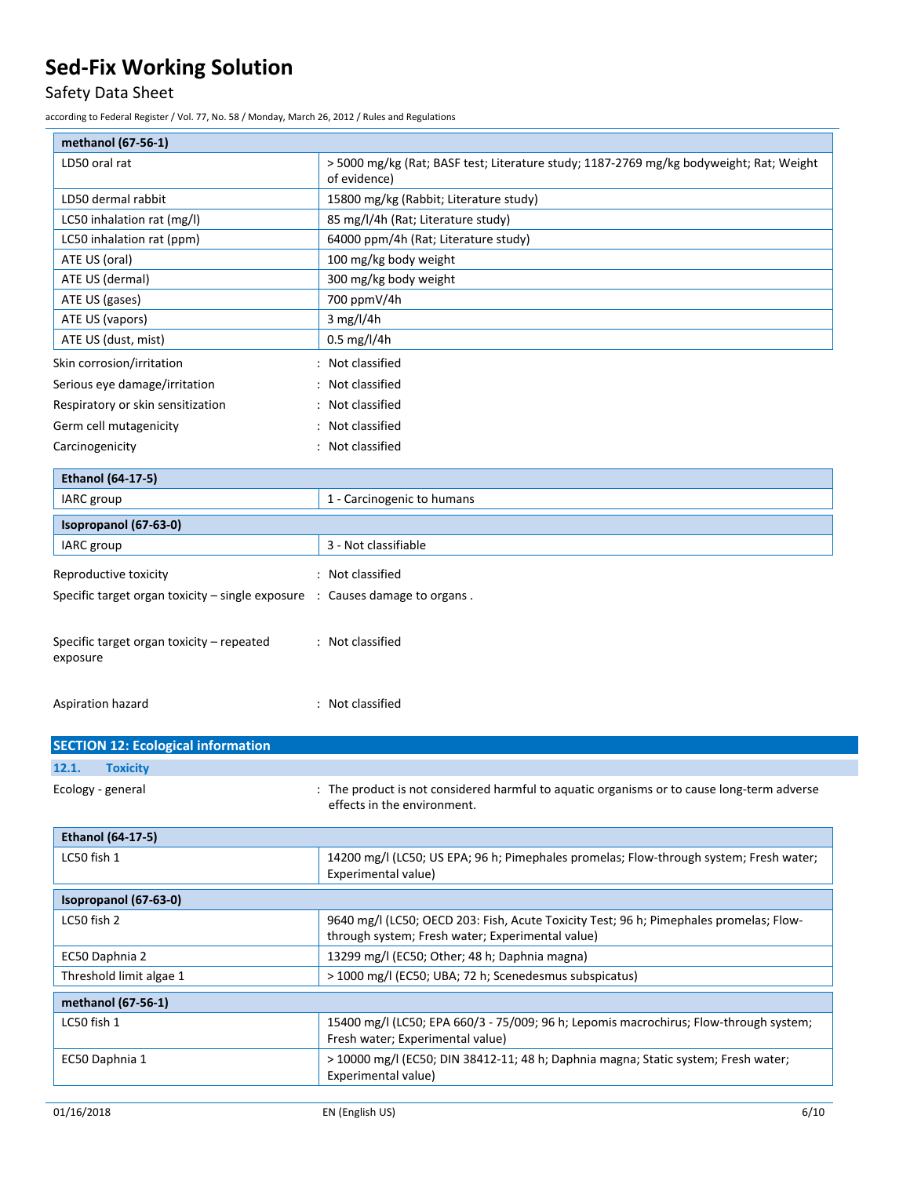# Safety Data Sheet

according to Federal Register / Vol. 77, No. 58 / Monday, March 26, 2012 / Rules and Regulations

| methanol (67-56-1)                                                                       |                                                                                                                           |
|------------------------------------------------------------------------------------------|---------------------------------------------------------------------------------------------------------------------------|
| LD50 oral rat                                                                            | > 5000 mg/kg (Rat; BASF test; Literature study; 1187-2769 mg/kg bodyweight; Rat; Weight<br>of evidence)                   |
| LD50 dermal rabbit                                                                       | 15800 mg/kg (Rabbit; Literature study)                                                                                    |
| LC50 inhalation rat (mg/l)                                                               | 85 mg/l/4h (Rat; Literature study)                                                                                        |
| LC50 inhalation rat (ppm)                                                                | 64000 ppm/4h (Rat; Literature study)                                                                                      |
| ATE US (oral)                                                                            | 100 mg/kg body weight                                                                                                     |
| ATE US (dermal)                                                                          | 300 mg/kg body weight                                                                                                     |
| ATE US (gases)                                                                           | 700 ppmV/4h                                                                                                               |
| ATE US (vapors)                                                                          | 3 mg/l/4h                                                                                                                 |
| ATE US (dust, mist)                                                                      | $0.5$ mg/l/4h                                                                                                             |
| Skin corrosion/irritation                                                                | : Not classified                                                                                                          |
| Serious eye damage/irritation                                                            | : Not classified                                                                                                          |
| Respiratory or skin sensitization                                                        | : Not classified                                                                                                          |
| Germ cell mutagenicity                                                                   | : Not classified                                                                                                          |
| Carcinogenicity                                                                          | : Not classified                                                                                                          |
| <b>Ethanol (64-17-5)</b>                                                                 |                                                                                                                           |
| IARC group                                                                               | 1 - Carcinogenic to humans                                                                                                |
| Isopropanol (67-63-0)                                                                    |                                                                                                                           |
| IARC group                                                                               | 3 - Not classifiable                                                                                                      |
| Reproductive toxicity                                                                    | : Not classified                                                                                                          |
| Specific target organ toxicity $-$ single exposure $\therefore$ Causes damage to organs. |                                                                                                                           |
| Specific target organ toxicity - repeated<br>exposure<br>Aspiration hazard               | : Not classified<br>: Not classified                                                                                      |
|                                                                                          |                                                                                                                           |
| <b>SECTION 12: Ecological information</b>                                                |                                                                                                                           |
| 12.1.<br><b>Toxicity</b>                                                                 |                                                                                                                           |
| Ecology - general                                                                        | : The product is not considered harmful to aquatic organisms or to cause long-term adverse<br>effects in the environment. |
| <b>Ethanol (64-17-5)</b>                                                                 |                                                                                                                           |
| LC50 fish 1                                                                              | 14200 mg/l (LC50; US EPA; 96 h; Pimephales promelas; Flow-through system; Fresh water;<br>Experimental value)             |
| Isopropanol (67-63-0)                                                                    |                                                                                                                           |
| LC50 fish 2                                                                              | 9640 mg/l (LC50; OECD 203: Fish, Acute Toxicity Test; 96 h; Pimephales promelas; Flow-                                    |
|                                                                                          | through system; Fresh water; Experimental value)                                                                          |
| EC50 Daphnia 2                                                                           | 13299 mg/l (EC50; Other; 48 h; Daphnia magna)                                                                             |
| Threshold limit algae 1                                                                  | > 1000 mg/l (EC50; UBA; 72 h; Scenedesmus subspicatus)                                                                    |
| methanol (67-56-1)                                                                       |                                                                                                                           |
| LC50 fish 1                                                                              | 15400 mg/l (LC50; EPA 660/3 - 75/009; 96 h; Lepomis macrochirus; Flow-through system;<br>Fresh water; Experimental value) |
| EC50 Daphnia 1                                                                           | > 10000 mg/l (EC50; DIN 38412-11; 48 h; Daphnia magna; Static system; Fresh water;<br>Experimental value)                 |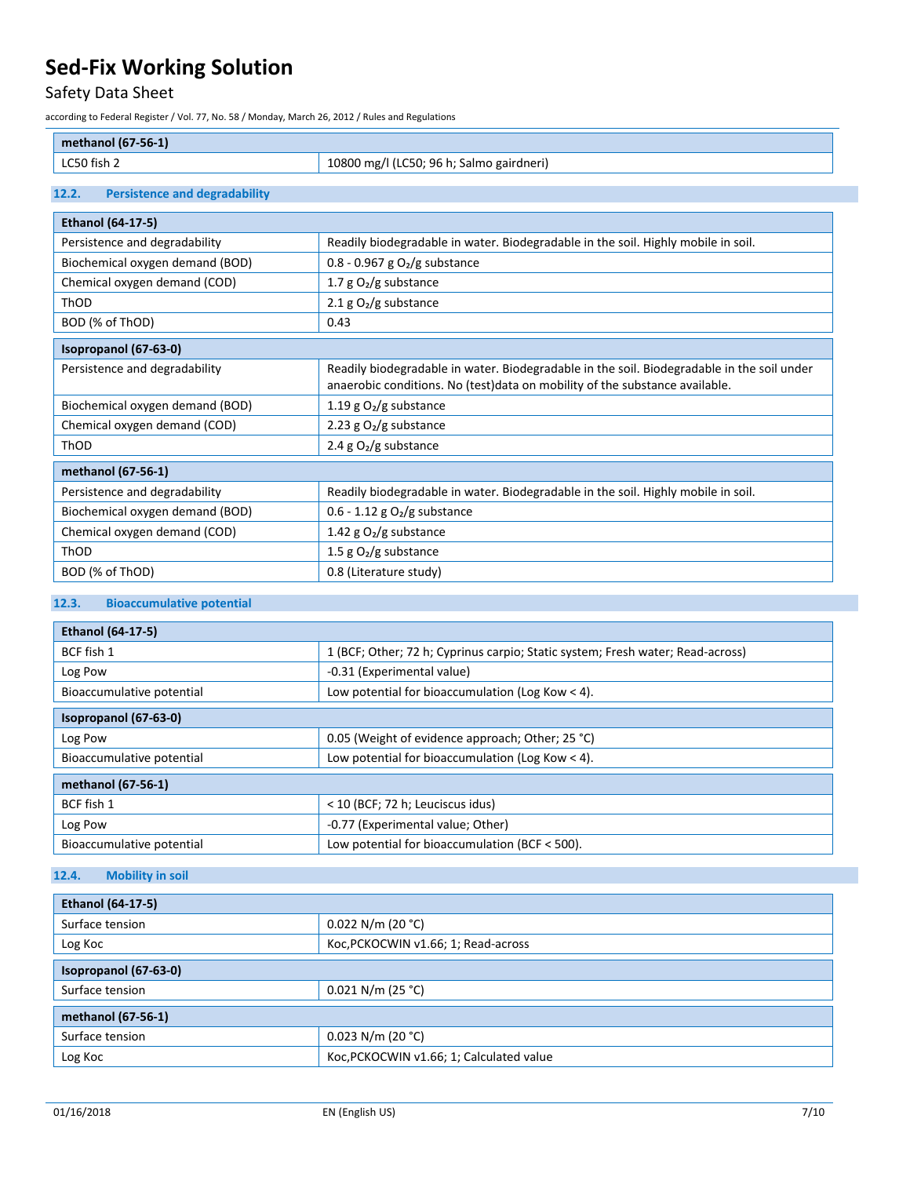# Safety Data Sheet

according to Federal Register / Vol. 77, No. 58 / Monday, March 26, 2012 / Rules and Regulations

LC50 fish 2 10800 mg/l (LC50; 96 h; Salmo gairdneri)

### **12.2. Persistence and degradability**

| <b>Ethanol (64-17-5)</b>        |                                                                                                                                                                            |  |
|---------------------------------|----------------------------------------------------------------------------------------------------------------------------------------------------------------------------|--|
| Persistence and degradability   | Readily biodegradable in water. Biodegradable in the soil. Highly mobile in soil.                                                                                          |  |
| Biochemical oxygen demand (BOD) | $0.8 - 0.967$ g O <sub>2</sub> /g substance                                                                                                                                |  |
| Chemical oxygen demand (COD)    | 1.7 $g O2/g$ substance                                                                                                                                                     |  |
| ThOD                            | 2.1 g $O_2/g$ substance                                                                                                                                                    |  |
| BOD (% of ThOD)                 | 0.43                                                                                                                                                                       |  |
| Isopropanol (67-63-0)           |                                                                                                                                                                            |  |
| Persistence and degradability   | Readily biodegradable in water. Biodegradable in the soil. Biodegradable in the soil under<br>anaerobic conditions. No (test) data on mobility of the substance available. |  |
| Biochemical oxygen demand (BOD) | 1.19 g $O_2/g$ substance                                                                                                                                                   |  |
| Chemical oxygen demand (COD)    | 2.23 g $O2/g$ substance                                                                                                                                                    |  |
| ThOD                            | 2.4 g $O_2/g$ substance                                                                                                                                                    |  |
| methanol (67-56-1)              |                                                                                                                                                                            |  |
| Persistence and degradability   | Readily biodegradable in water. Biodegradable in the soil. Highly mobile in soil.                                                                                          |  |
| Biochemical oxygen demand (BOD) | $0.6 - 1.12$ g O <sub>2</sub> /g substance                                                                                                                                 |  |
| Chemical oxygen demand (COD)    | 1.42 g $O_2/g$ substance                                                                                                                                                   |  |
| ThOD                            | 1.5 $g O2/g$ substance                                                                                                                                                     |  |
| BOD (% of ThOD)                 | 0.8 (Literature study)                                                                                                                                                     |  |

# **12.3. Bioaccumulative potential**

| <b>Ethanol (64-17-5)</b>  |                                                                                |  |
|---------------------------|--------------------------------------------------------------------------------|--|
| BCF fish 1                | 1 (BCF; Other; 72 h; Cyprinus carpio; Static system; Fresh water; Read-across) |  |
| Log Pow                   | -0.31 (Experimental value)                                                     |  |
| Bioaccumulative potential | Low potential for bioaccumulation (Log Kow $<$ 4).                             |  |
| Isopropanol (67-63-0)     |                                                                                |  |
| Log Pow                   | 0.05 (Weight of evidence approach; Other; 25 °C)                               |  |
| Bioaccumulative potential | Low potential for bioaccumulation (Log Kow $<$ 4).                             |  |
| methanol (67-56-1)        |                                                                                |  |
| BCF fish 1                | < 10 (BCF; 72 h; Leuciscus idus)                                               |  |
| Log Pow                   | -0.77 (Experimental value; Other)                                              |  |
| Bioaccumulative potential | Low potential for bioaccumulation (BCF $<$ 500).                               |  |

# **12.4. Mobility in soil**

| <b>Ethanol (64-17-5)</b> |                                          |  |
|--------------------------|------------------------------------------|--|
| Surface tension          | $0.022$ N/m (20 °C)                      |  |
| Log Koc                  | Koc, PCKOCWIN v1.66; 1; Read-across      |  |
| Isopropanol (67-63-0)    |                                          |  |
| Surface tension          | $0.021$ N/m (25 °C)                      |  |
| methanol (67-56-1)       |                                          |  |
| Surface tension          | $0.023$ N/m (20 °C)                      |  |
| Log Koc                  | Koc, PCKOCWIN v1.66; 1; Calculated value |  |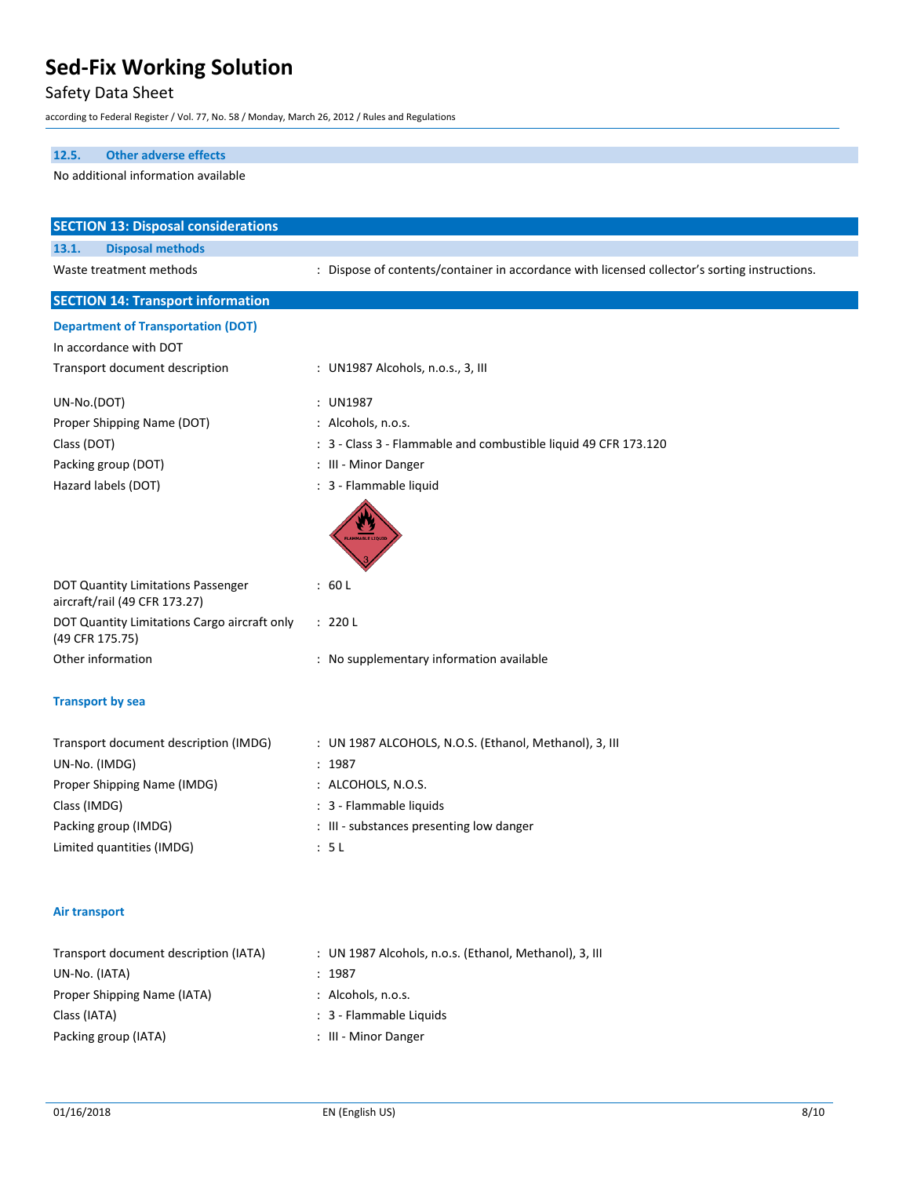# Safety Data Sheet

according to Federal Register / Vol. 77, No. 58 / Monday, March 26, 2012 / Rules and Regulations

### **12.5. Other adverse effects**

### No additional information available

| <b>SECTION 13: Disposal considerations</b>                          |                                                                                               |  |  |
|---------------------------------------------------------------------|-----------------------------------------------------------------------------------------------|--|--|
| <b>Disposal methods</b><br>13.1.                                    |                                                                                               |  |  |
| Waste treatment methods                                             | : Dispose of contents/container in accordance with licensed collector's sorting instructions. |  |  |
| <b>SECTION 14: Transport information</b>                            |                                                                                               |  |  |
| <b>Department of Transportation (DOT)</b>                           |                                                                                               |  |  |
| In accordance with DOT                                              |                                                                                               |  |  |
| Transport document description                                      | : UN1987 Alcohols, n.o.s., 3, III                                                             |  |  |
| UN-No.(DOT)                                                         | : UN1987                                                                                      |  |  |
| Proper Shipping Name (DOT)                                          | : Alcohols, n.o.s.                                                                            |  |  |
| Class (DOT)                                                         | 3 - Class 3 - Flammable and combustible liquid 49 CFR 173.120                                 |  |  |
| Packing group (DOT)                                                 | : III - Minor Danger                                                                          |  |  |
| Hazard labels (DOT)                                                 | : 3 - Flammable liquid                                                                        |  |  |
|                                                                     |                                                                                               |  |  |
| DOT Quantity Limitations Passenger<br>aircraft/rail (49 CFR 173.27) | : 60 L                                                                                        |  |  |
| DOT Quantity Limitations Cargo aircraft only<br>(49 CFR 175.75)     | : 220 L                                                                                       |  |  |
| Other information                                                   | : No supplementary information available                                                      |  |  |
| <b>Transport by sea</b>                                             |                                                                                               |  |  |
| Transport document description (IMDG)                               | : UN 1987 ALCOHOLS, N.O.S. (Ethanol, Methanol), 3, III                                        |  |  |
| UN-No. (IMDG)                                                       | : 1987                                                                                        |  |  |
| Proper Shipping Name (IMDG)                                         | : ALCOHOLS, N.O.S.                                                                            |  |  |
| Class (IMDG)                                                        | : 3 - Flammable liquids                                                                       |  |  |
| Packing group (IMDG)                                                | : III - substances presenting low danger                                                      |  |  |
| Limited quantities (IMDG)                                           | : 5L                                                                                          |  |  |
| Air transport                                                       |                                                                                               |  |  |
| Transport document description (IATA)<br>UN-No. (IATA)              | : UN 1987 Alcohols, n.o.s. (Ethanol, Methanol), 3, III<br>: 1987                              |  |  |

- Proper Shipping Name (IATA) : Alcohols, n.o.s.
- Class (IATA)  $\cdot$  3 Flammable Liquids
- Packing group (IATA)  $\qquad \qquad$ : III Minor Danger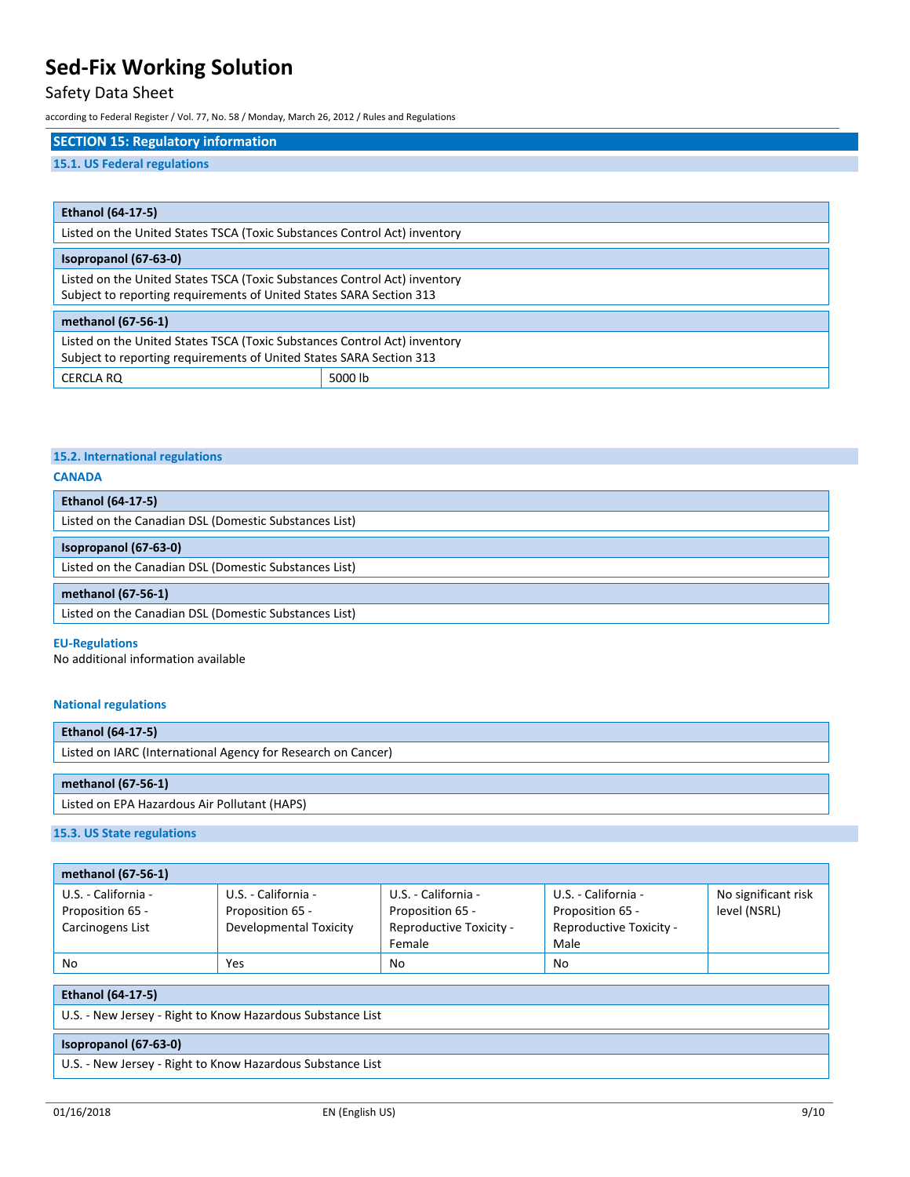# Safety Data Sheet

according to Federal Register / Vol. 77, No. 58 / Monday, March 26, 2012 / Rules and Regulations

# **SECTION 15: Regulatory information**

## **15.1. US Federal regulations**

| <b>Ethanol (64-17-5)</b>                                                                                                                         |         |
|--------------------------------------------------------------------------------------------------------------------------------------------------|---------|
| Listed on the United States TSCA (Toxic Substances Control Act) inventory                                                                        |         |
| Isopropanol (67-63-0)                                                                                                                            |         |
| Listed on the United States TSCA (Toxic Substances Control Act) inventory<br>Subject to reporting requirements of United States SARA Section 313 |         |
| methanol (67-56-1)                                                                                                                               |         |
| Listed on the United States TSCA (Toxic Substances Control Act) inventory<br>Subject to reporting requirements of United States SARA Section 313 |         |
| <b>CERCLA RO</b>                                                                                                                                 | 5000 lb |

#### **15.2. International regulations**

### **CANADA**

| <b>Ethanol (64-17-5)</b>                              |  |
|-------------------------------------------------------|--|
| Listed on the Canadian DSL (Domestic Substances List) |  |
|                                                       |  |
| Isopropanol (67-63-0)                                 |  |
| Listed on the Canadian DSL (Domestic Substances List) |  |
|                                                       |  |
| methanol (67-56-1)                                    |  |
| Listed on the Canadian DSL (Domestic Substances List) |  |

#### **EU-Regulations**

No additional information available

#### **National regulations**

| <b>Ethanol (64-17-5)</b>                                     |  |
|--------------------------------------------------------------|--|
| Listed on IARC (International Agency for Research on Cancer) |  |
|                                                              |  |
| methanol (67-56-1)                                           |  |
| Listed on EPA Hazardous Air Pollutant (HAPS)                 |  |

# **15.3. US State regulations**

| methanol (67-56-1)  |                        |                         |                         |                     |
|---------------------|------------------------|-------------------------|-------------------------|---------------------|
| U.S. - California - | U.S. - California -    | U.S. - California -     | U.S. - California -     | No significant risk |
| Proposition 65 -    | Proposition 65 -       | Proposition 65 -        | Proposition 65 -        | level (NSRL)        |
| Carcinogens List    | Developmental Toxicity | Reproductive Toxicity - | Reproductive Toxicity - |                     |
|                     |                        | Female                  | Male                    |                     |
| No                  | Yes                    | N <sub>0</sub>          | No                      |                     |

### **Ethanol (64-17-5)**

U.S. - New Jersey - Right to Know Hazardous Substance List

#### **Isopropanol (67-63-0)**

U.S. - New Jersey - Right to Know Hazardous Substance List